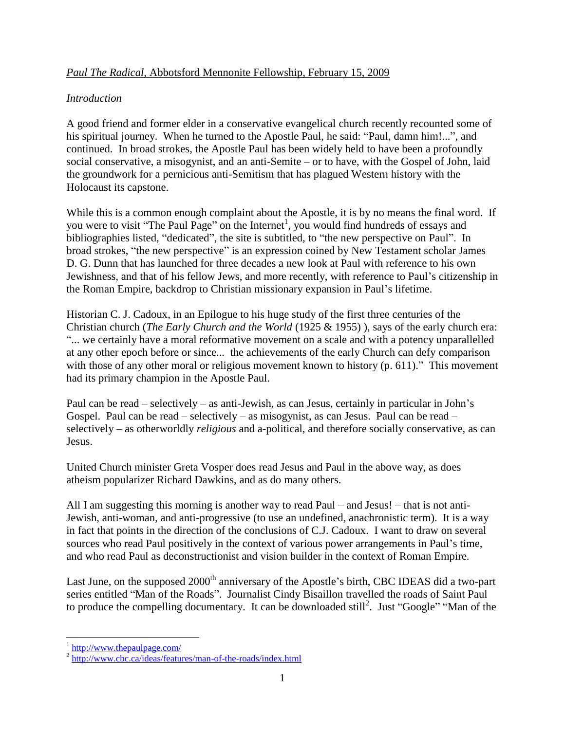## *Paul The Radical,* Abbotsford Mennonite Fellowship, February 15, 2009

### *Introduction*

A good friend and former elder in a conservative evangelical church recently recounted some of his spiritual journey. When he turned to the Apostle Paul, he said: "Paul, damn him!...", and continued. In broad strokes, the Apostle Paul has been widely held to have been a profoundly social conservative, a misogynist, and an anti-Semite – or to have, with the Gospel of John, laid the groundwork for a pernicious anti-Semitism that has plagued Western history with the Holocaust its capstone.

While this is a common enough complaint about the Apostle, it is by no means the final word. If you were to visit "The Paul Page" on the Internet<sup>1</sup>, you would find hundreds of essays and bibliographies listed, "dedicated", the site is subtitled, to "the new perspective on Paul". In broad strokes, "the new perspective" is an expression coined by New Testament scholar James D. G. Dunn that has launched for three decades a new look at Paul with reference to his own Jewishness, and that of his fellow Jews, and more recently, with reference to Paul"s citizenship in the Roman Empire, backdrop to Christian missionary expansion in Paul"s lifetime.

Historian C. J. Cadoux, in an Epilogue to his huge study of the first three centuries of the Christian church (*The Early Church and the World* (1925 & 1955) ), says of the early church era: "... we certainly have a moral reformative movement on a scale and with a potency unparallelled at any other epoch before or since... the achievements of the early Church can defy comparison with those of any other moral or religious movement known to history (p. 611)." This movement had its primary champion in the Apostle Paul.

Paul can be read – selectively – as anti-Jewish, as can Jesus, certainly in particular in John"s Gospel. Paul can be read – selectively – as misogynist, as can Jesus. Paul can be read – selectively – as otherworldly *religious* and a-political, and therefore socially conservative, as can Jesus.

United Church minister Greta Vosper does read Jesus and Paul in the above way, as does atheism popularizer Richard Dawkins, and as do many others.

All I am suggesting this morning is another way to read Paul – and Jesus! – that is not anti-Jewish, anti-woman, and anti-progressive (to use an undefined, anachronistic term). It is a way in fact that points in the direction of the conclusions of C.J. Cadoux. I want to draw on several sources who read Paul positively in the context of various power arrangements in Paul's time, and who read Paul as deconstructionist and vision builder in the context of Roman Empire.

Last June, on the supposed 2000<sup>th</sup> anniversary of the Apostle's birth, CBC IDEAS did a two-part series entitled "Man of the Roads". Journalist Cindy Bisaillon travelled the roads of Saint Paul to produce the compelling documentary. It can be downloaded still<sup>2</sup>. Just "Google" "Man of the

 $\frac{1 \text{http://www.thepaulpage.com/}}{}$  $\frac{1 \text{http://www.thepaulpage.com/}}{}$  $\frac{1 \text{http://www.thepaulpage.com/}}{}$ 

<sup>&</sup>lt;sup>2</sup> <http://www.cbc.ca/ideas/features/man-of-the-roads/index.html>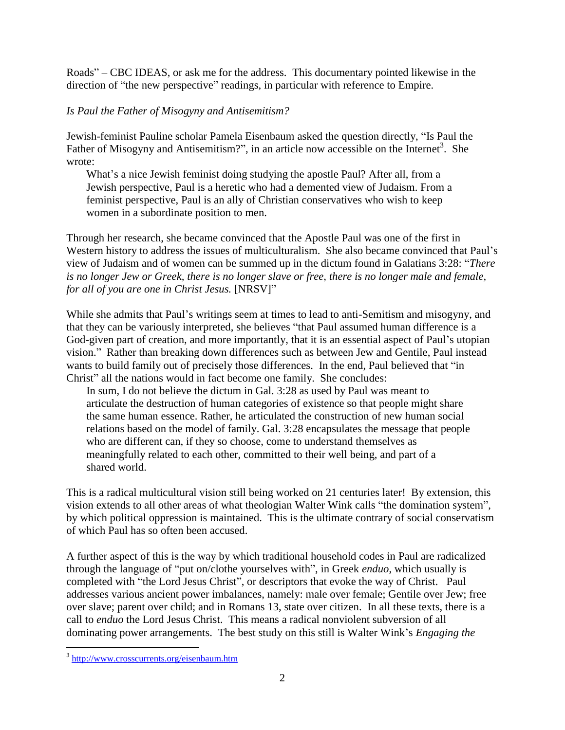Roads" – CBC IDEAS, or ask me for the address. This documentary pointed likewise in the direction of "the new perspective" readings, in particular with reference to Empire.

# *Is Paul the Father of Misogyny and Antisemitism?*

Jewish-feminist Pauline scholar Pamela Eisenbaum asked the question directly, "Is Paul the Father of Misogyny and Antisemitism?", in an article now accessible on the Internet<sup>3</sup>. She wrote:

What's a nice Jewish feminist doing studying the apostle Paul? After all, from a Jewish perspective, Paul is a heretic who had a demented view of Judaism. From a feminist perspective, Paul is an ally of Christian conservatives who wish to keep women in a subordinate position to men.

Through her research, she became convinced that the Apostle Paul was one of the first in Western history to address the issues of multiculturalism. She also became convinced that Paul"s view of Judaism and of women can be summed up in the dictum found in Galatians 3:28: "*There is no longer Jew or Greek, there is no longer slave or free, there is no longer male and female, for all of you are one in Christ Jesus.* [NRSV]"

While she admits that Paul"s writings seem at times to lead to anti-Semitism and misogyny, and that they can be variously interpreted, she believes "that Paul assumed human difference is a God-given part of creation, and more importantly, that it is an essential aspect of Paul"s utopian vision." Rather than breaking down differences such as between Jew and Gentile, Paul instead wants to build family out of precisely those differences. In the end, Paul believed that "in Christ" all the nations would in fact become one family. She concludes:

In sum, I do not believe the dictum in Gal. 3:28 as used by Paul was meant to articulate the destruction of human categories of existence so that people might share the same human essence. Rather, he articulated the construction of new human social relations based on the model of family. Gal. 3:28 encapsulates the message that people who are different can, if they so choose, come to understand themselves as meaningfully related to each other, committed to their well being, and part of a shared world.

This is a radical multicultural vision still being worked on 21 centuries later! By extension, this vision extends to all other areas of what theologian Walter Wink calls "the domination system", by which political oppression is maintained. This is the ultimate contrary of social conservatism of which Paul has so often been accused.

A further aspect of this is the way by which traditional household codes in Paul are radicalized through the language of "put on/clothe yourselves with", in Greek *enduo*, which usually is completed with "the Lord Jesus Christ", or descriptors that evoke the way of Christ. Paul addresses various ancient power imbalances, namely: male over female; Gentile over Jew; free over slave; parent over child; and in Romans 13, state over citizen. In all these texts, there is a call to *enduo* the Lord Jesus Christ. This means a radical nonviolent subversion of all dominating power arrangements. The best study on this still is Walter Wink"s *Engaging the* 

 $\overline{a}$ 

<sup>&</sup>lt;sup>3</sup> <http://www.crosscurrents.org/eisenbaum.htm>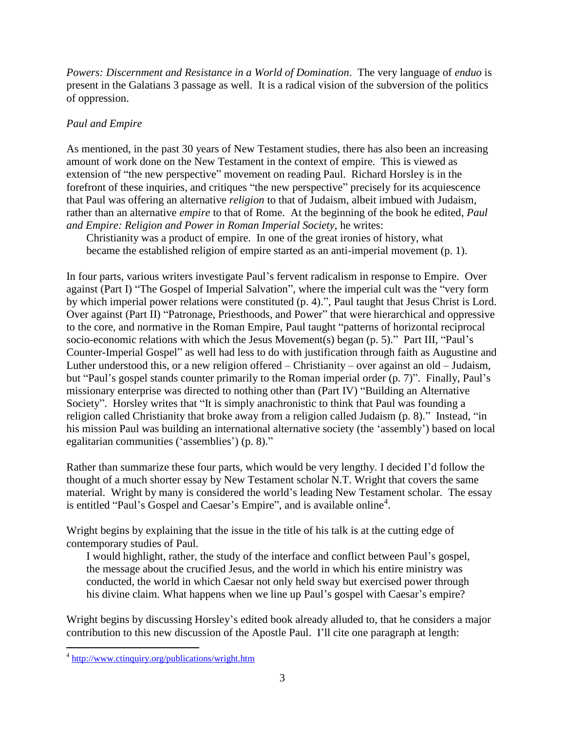*Powers: Discernment and Resistance in a World of Domination*. The very language of *enduo* is present in the Galatians 3 passage as well. It is a radical vision of the subversion of the politics of oppression.

# *Paul and Empire*

As mentioned, in the past 30 years of New Testament studies, there has also been an increasing amount of work done on the New Testament in the context of empire. This is viewed as extension of "the new perspective" movement on reading Paul. Richard Horsley is in the forefront of these inquiries, and critiques "the new perspective" precisely for its acquiescence that Paul was offering an alternative *religion* to that of Judaism, albeit imbued with Judaism, rather than an alternative *empire* to that of Rome. At the beginning of the book he edited, *Paul and Empire: Religion and Power in Roman Imperial Society*, he writes:

Christianity was a product of empire. In one of the great ironies of history, what became the established religion of empire started as an anti-imperial movement (p. 1).

In four parts, various writers investigate Paul"s fervent radicalism in response to Empire. Over against (Part I) "The Gospel of Imperial Salvation", where the imperial cult was the "very form by which imperial power relations were constituted (p. 4).", Paul taught that Jesus Christ is Lord. Over against (Part II) "Patronage, Priesthoods, and Power" that were hierarchical and oppressive to the core, and normative in the Roman Empire, Paul taught "patterns of horizontal reciprocal socio-economic relations with which the Jesus Movement(s) began (p. 5)." Part III, "Paul's Counter-Imperial Gospel" as well had less to do with justification through faith as Augustine and Luther understood this, or a new religion offered – Christianity – over against an old – Judaism, but "Paul"s gospel stands counter primarily to the Roman imperial order (p. 7)". Finally, Paul"s missionary enterprise was directed to nothing other than (Part IV) "Building an Alternative Society". Horsley writes that "It is simply anachronistic to think that Paul was founding a religion called Christianity that broke away from a religion called Judaism (p. 8)." Instead, "in his mission Paul was building an international alternative society (the 'assembly') based on local egalitarian communities ("assemblies") (p. 8)."

Rather than summarize these four parts, which would be very lengthy. I decided I"d follow the thought of a much shorter essay by New Testament scholar N.T. Wright that covers the same material. Wright by many is considered the world"s leading New Testament scholar. The essay is entitled "Paul's Gospel and Caesar's Empire", and is available online<sup>4</sup>.

Wright begins by explaining that the issue in the title of his talk is at the cutting edge of contemporary studies of Paul.

I would highlight, rather, the study of the interface and conflict between Paul"s gospel, the message about the crucified Jesus, and the world in which his entire ministry was conducted, the world in which Caesar not only held sway but exercised power through his divine claim. What happens when we line up Paul's gospel with Caesar's empire?

Wright begins by discussing Horsley"s edited book already alluded to, that he considers a major contribution to this new discussion of the Apostle Paul. I"ll cite one paragraph at length:

 $\overline{a}$ 

<sup>&</sup>lt;sup>4</sup> <http://www.ctinquiry.org/publications/wright.htm>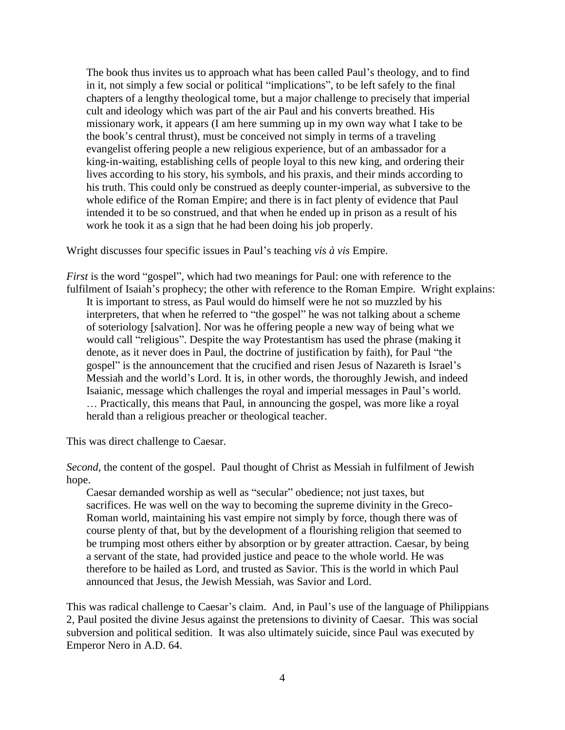The book thus invites us to approach what has been called Paul"s theology, and to find in it, not simply a few social or political "implications", to be left safely to the final chapters of a lengthy theological tome, but a major challenge to precisely that imperial cult and ideology which was part of the air Paul and his converts breathed. His missionary work, it appears (I am here summing up in my own way what I take to be the book"s central thrust), must be conceived not simply in terms of a traveling evangelist offering people a new religious experience, but of an ambassador for a king-in-waiting, establishing cells of people loyal to this new king, and ordering their lives according to his story, his symbols, and his praxis, and their minds according to his truth. This could only be construed as deeply counter-imperial, as subversive to the whole edifice of the Roman Empire; and there is in fact plenty of evidence that Paul intended it to be so construed, and that when he ended up in prison as a result of his work he took it as a sign that he had been doing his job properly.

Wright discusses four specific issues in Paul"s teaching *vis à vis* Empire.

*First* is the word "gospel", which had two meanings for Paul: one with reference to the fulfilment of Isaiah's prophecy; the other with reference to the Roman Empire. Wright explains: It is important to stress, as Paul would do himself were he not so muzzled by his interpreters, that when he referred to "the gospel" he was not talking about a scheme of soteriology [salvation]. Nor was he offering people a new way of being what we would call "religious". Despite the way Protestantism has used the phrase (making it denote, as it never does in Paul, the doctrine of justification by faith), for Paul "the gospel" is the announcement that the crucified and risen Jesus of Nazareth is Israel"s Messiah and the world"s Lord. It is, in other words, the thoroughly Jewish, and indeed Isaianic, message which challenges the royal and imperial messages in Paul"s world. … Practically, this means that Paul, in announcing the gospel, was more like a royal herald than a religious preacher or theological teacher.

This was direct challenge to Caesar.

*Second*, the content of the gospel. Paul thought of Christ as Messiah in fulfilment of Jewish hope.

Caesar demanded worship as well as "secular" obedience; not just taxes, but sacrifices. He was well on the way to becoming the supreme divinity in the Greco-Roman world, maintaining his vast empire not simply by force, though there was of course plenty of that, but by the development of a flourishing religion that seemed to be trumping most others either by absorption or by greater attraction. Caesar, by being a servant of the state, had provided justice and peace to the whole world. He was therefore to be hailed as Lord, and trusted as Savior. This is the world in which Paul announced that Jesus, the Jewish Messiah, was Savior and Lord.

This was radical challenge to Caesar"s claim. And, in Paul"s use of the language of Philippians 2, Paul posited the divine Jesus against the pretensions to divinity of Caesar. This was social subversion and political sedition. It was also ultimately suicide, since Paul was executed by Emperor Nero in A.D. 64.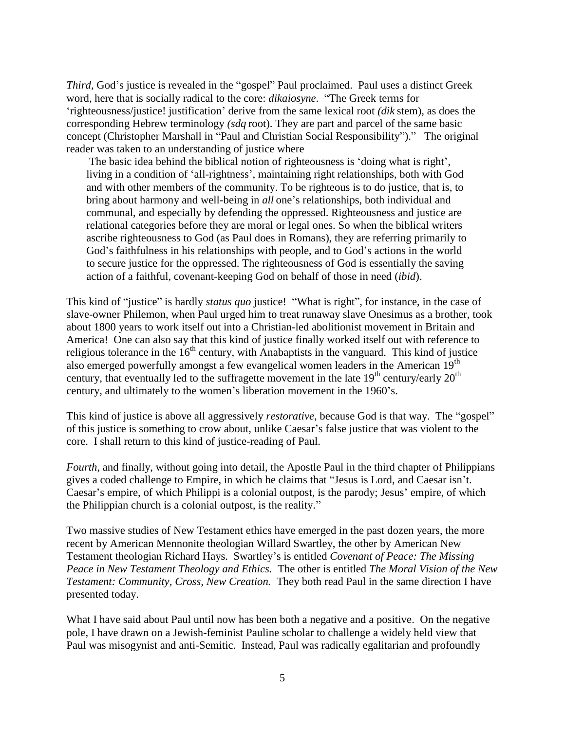*Third*, God's justice is revealed in the "gospel" Paul proclaimed. Paul uses a distinct Greek word, here that is socially radical to the core: *dikaiosyne*. "The Greek terms for "righteousness/justice! justification" derive from the same lexical root *(dik* stem), as does the corresponding Hebrew terminology *(sdq* root). They are part and parcel of the same basic concept (Christopher Marshall in "Paul and Christian Social Responsibility")." The original reader was taken to an understanding of justice where

The basic idea behind the biblical notion of righteousness is "doing what is right", living in a condition of 'all-rightness', maintaining right relationships, both with God and with other members of the community. To be righteous is to do justice, that is, to bring about harmony and well-being in *all* one's relationships, both individual and communal, and especially by defending the oppressed. Righteousness and justice are relational categories before they are moral or legal ones. So when the biblical writers ascribe righteousness to God (as Paul does in Romans), they are referring primarily to God's faithfulness in his relationships with people, and to God's actions in the world to secure justice for the oppressed. The righteousness of God is essentially the saving action of a faithful, covenant-keeping God on behalf of those in need (*ibid*).

This kind of "justice" is hardly *status quo* justice! "What is right", for instance, in the case of slave-owner Philemon, when Paul urged him to treat runaway slave Onesimus as a brother, took about 1800 years to work itself out into a Christian-led abolitionist movement in Britain and America! One can also say that this kind of justice finally worked itself out with reference to religious tolerance in the  $16<sup>th</sup>$  century, with Anabaptists in the vanguard. This kind of justice also emerged powerfully amongst a few evangelical women leaders in the American 19<sup>th</sup> century, that eventually led to the suffragette movement in the late  $19<sup>th</sup>$  century/early  $20<sup>th</sup>$ century, and ultimately to the women"s liberation movement in the 1960"s.

This kind of justice is above all aggressively *restorative*, because God is that way. The "gospel" of this justice is something to crow about, unlike Caesar"s false justice that was violent to the core. I shall return to this kind of justice-reading of Paul.

*Fourth*, and finally, without going into detail, the Apostle Paul in the third chapter of Philippians gives a coded challenge to Empire, in which he claims that "Jesus is Lord, and Caesar isn"t. Caesar's empire, of which Philippi is a colonial outpost, is the parody; Jesus' empire, of which the Philippian church is a colonial outpost, is the reality."

Two massive studies of New Testament ethics have emerged in the past dozen years, the more recent by American Mennonite theologian Willard Swartley, the other by American New Testament theologian Richard Hays. Swartley"s is entitled *Covenant of Peace: The Missing Peace in New Testament Theology and Ethics.* The other is entitled *The Moral Vision of the New Testament: Community, Cross, New Creation.* They both read Paul in the same direction I have presented today.

What I have said about Paul until now has been both a negative and a positive. On the negative pole, I have drawn on a Jewish-feminist Pauline scholar to challenge a widely held view that Paul was misogynist and anti-Semitic. Instead, Paul was radically egalitarian and profoundly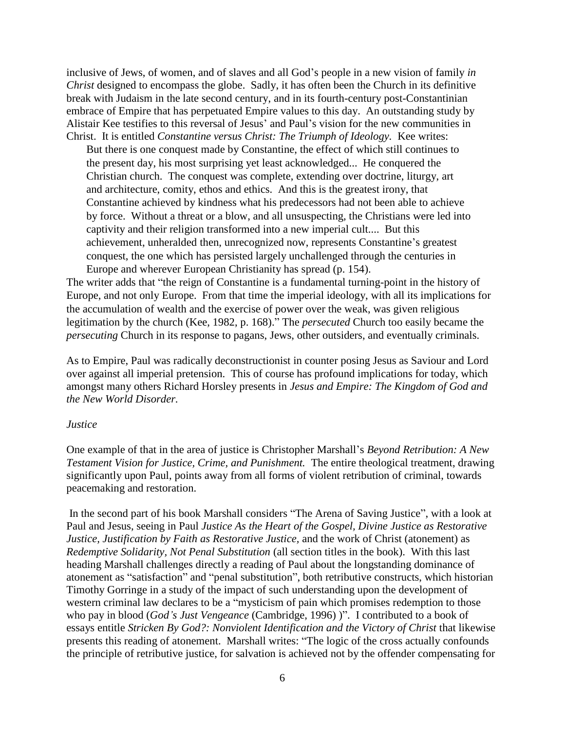inclusive of Jews, of women, and of slaves and all God's people in a new vision of family *in Christ* designed to encompass the globe. Sadly, it has often been the Church in its definitive break with Judaism in the late second century, and in its fourth-century post-Constantinian embrace of Empire that has perpetuated Empire values to this day. An outstanding study by Alistair Kee testifies to this reversal of Jesus" and Paul"s vision for the new communities in Christ. It is entitled *Constantine versus Christ: The Triumph of Ideology.* Kee writes:

But there is one conquest made by Constantine, the effect of which still continues to the present day, his most surprising yet least acknowledged... He conquered the Christian church. The conquest was complete, extending over doctrine, liturgy, art and architecture, comity, ethos and ethics. And this is the greatest irony, that Constantine achieved by kindness what his predecessors had not been able to achieve by force. Without a threat or a blow, and all unsuspecting, the Christians were led into captivity and their religion transformed into a new imperial cult.... But this achievement, unheralded then, unrecognized now, represents Constantine"s greatest conquest, the one which has persisted largely unchallenged through the centuries in Europe and wherever European Christianity has spread (p. 154).

The writer adds that "the reign of Constantine is a fundamental turning-point in the history of Europe, and not only Europe. From that time the imperial ideology, with all its implications for the accumulation of wealth and the exercise of power over the weak, was given religious legitimation by the church (Kee, 1982, p. 168)." The *persecuted* Church too easily became the *persecuting* Church in its response to pagans, Jews, other outsiders, and eventually criminals.

As to Empire, Paul was radically deconstructionist in counter posing Jesus as Saviour and Lord over against all imperial pretension. This of course has profound implications for today, which amongst many others Richard Horsley presents in *Jesus and Empire: The Kingdom of God and the New World Disorder.* 

#### *Justice*

One example of that in the area of justice is Christopher Marshall"s *Beyond Retribution: A New Testament Vision for Justice, Crime, and Punishment.* The entire theological treatment, drawing significantly upon Paul, points away from all forms of violent retribution of criminal, towards peacemaking and restoration.

In the second part of his book Marshall considers "The Arena of Saving Justice", with a look at Paul and Jesus, seeing in Paul *Justice As the Heart of the Gospel, Divine Justice as Restorative Justice, Justification by Faith as Restorative Justice,* and the work of Christ (atonement) as *Redemptive Solidarity, Not Penal Substitution* (all section titles in the book). With this last heading Marshall challenges directly a reading of Paul about the longstanding dominance of atonement as "satisfaction" and "penal substitution", both retributive constructs, which historian Timothy Gorringe in a study of the impact of such understanding upon the development of western criminal law declares to be a "mysticism of pain which promises redemption to those who pay in blood (*God's Just Vengeance* (Cambridge, 1996) )". I contributed to a book of essays entitle *Stricken By God?: Nonviolent Identification and the Victory of Christ* that likewise presents this reading of atonement. Marshall writes: "The logic of the cross actually confounds the principle of retributive justice, for salvation is achieved not by the offender compensating for